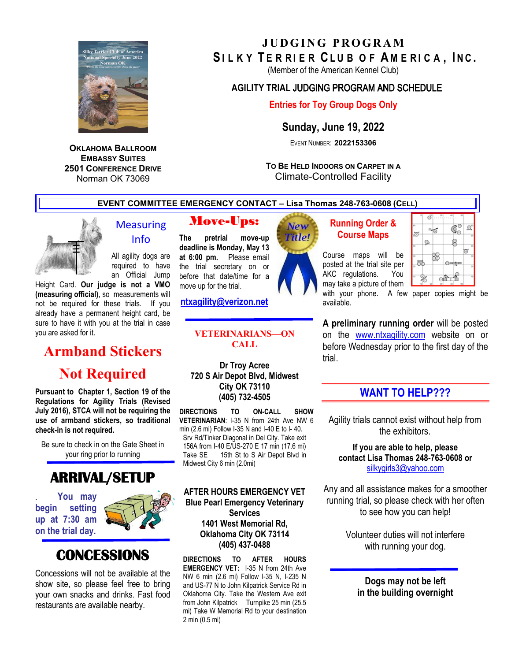

**OKLAHOMA BALLROOM EMBASSY SUITES 2501 CONFERENCE DRIVE** Norman OK 73069

## **JUDGING PROGRAM** SILKY TERRIER CLUB OF AMERICA, INC.

(Member of the American Kennel Club)

### **AGILITY TRIAL** JUDGING PROGRAM AND SCHEDULE

### **Entries for Toy Group Dogs Only**

**Sunday, June 19, 2022** 

EVENT NUMBER: **2022153306** 

**TO BE HELD INDOORS ON CARPET IN A** Climate-Controlled Facility

**EVENT COMMITTEE EMERGENCY CONTACT – Lisa Thomas 248-763-0608 (CELL)**



## **Measuring** Info

All agility dogs are required to have an Official Jump

Height Card. **Our judge is not a VMO (measuring official)**, so measurements will not be required for these trials. If you already have a permanent height card, be sure to have it with you at the trial in case you are asked for it.

# **Armband Stickers**

# **Not Required**

**Pursuant to Chapter 1, Section 19 of the Regulations for Agility Trials (Revised July 2016), STCA will not be requiring the use of armband stickers, so traditional check-in is not required.** 

Be sure to check in on the Gate Sheet in your ring prior to running

# **ARRIVAL/SETUP**

. **You may begin setting up at 7:30 am on the trial day.** 



# **CONCESSIONS**

Concessions will not be available at the show site, so please feel free to bring your own snacks and drinks. Fast food restaurants are available nearby.

## Move-Ups:

**The pretrial move-up deadline is Monday, May 13 at 6:00 pm.** Please email the trial secretary on or before that date/time for a move up for the trial.

**[ntxagility@verizon.net](mailto:ntxagility@verizon.net)**

#### **VETERINARIANS—ON CALL**

**Dr Troy Acree 720 S Air Depot Blvd, Midwest City OK 73110 (405) 732-4505**

**DIRECTIONS TO ON-CALL SHOW VETERINARIAN**: I-35 N from 24th Ave NW 6 min (2.6 mi) Follow I-35 N and I-40 E to I- 40. Srv Rd/Tinker Diagonal in Del City. Take exit 156A from I-40 E/US-270 E 17 min (17.6 mi) Take SE 15th St to S Air Depot Blvd in Midwest City 6 min (2.0mi)

**AFTER HOURS EMERGENCY VET Blue Pearl Emergency Veterinary Services 1401 West Memorial Rd, Oklahoma City OK 73114 (405) 437-0488**

**DIRECTIONS TO AFTER HOURS EMERGENCY VET:** I-35 N from 24th Ave NW 6 min (2.6 mi) Follow I-35 N, I-235 N and US-77 N to John Kilpatrick Service Rd in Oklahoma City. Take the Western Ave exit from John Kilpatrick Turnpike 25 min (25.5 mi) Take W Memorial Rd to your destination 2 min (0.5 mi)



### **Running Order & Course Maps**

Course maps will be posted at the trial site per AKC regulations. You may take a picture of them

| 10     | T  |    | 40 | 50                |    |
|--------|----|----|----|-------------------|----|
| ż<br>ō |    | 34 |    | m                 | ø  |
|        | Q. |    |    |                   |    |
| 5<br>≅ |    |    |    | $0 \rightarrow 2$ | O  |
| w      |    | G  |    |                   | 10 |

with your phone. A few paper copies might be available.

**A preliminary running order** will be posted on the [www.ntxagility.com](http://www.ntxagility.com/) website on or before Wednesday prior to the first day of the trial.

## **WANT TO HELP???**

Agility trials cannot exist without help from the exhibitors.

**If you are able to help, please contact Lisa Thomas 248-763-0608 or**  [silkygirls3@yahoo.com](mailto:silkygirls3@yahoo.com)

Any and all assistance makes for a smoother running trial, so please check with her often to see how you can help!

> Volunteer duties will not interfere with running your dog.

**Dogs may not be left in the building overnight**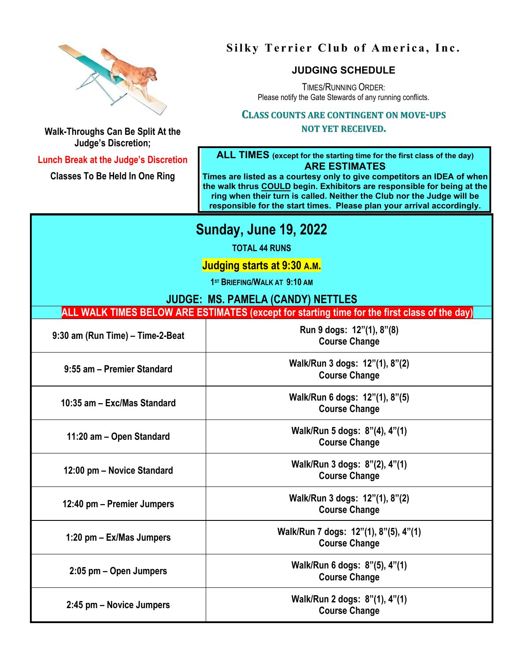

## **Silky Terrier Club of America, Inc.**

## **JUDGING SCHEDULE**

TIMES/RUNNING ORDER: Please notify the Gate Stewards of any running conflicts.

#### **CLASS COUNTS ARE CONTINGENT ON MOVE-UPS**

#### **NOT YET RECEIVED.**

**Walk-Throughs Can Be Split At the Judge's Discretion;** 

**Lunch Break at the Judge's Discretion**

**Classes To Be Held In One Ring**

**ALL TIMES (except for the starting time for the first class of the day) ARE ESTIMATES**

**Times are listed as a courtesy only to give competitors an IDEA of when the walk thrus COULD begin. Exhibitors are responsible for being at the ring when their turn is called. Neither the Club nor the Judge will be responsible for the start times. Please plan your arrival accordingly.**

## **Sunday, June 19, 2022**

**TOTAL 44 RUNS**

**Judging starts at 9:30 A.M.**

**1ST BRIEFING/WALK AT 9:10 AM**

### **JUDGE: MS. PAMELA (CANDY) NETTLES**

**ALL WALK TIMES BELOW ARE ESTIMATES (except for starting time for the first class of the day)**

| 9:30 am (Run Time) - Time-2-Beat | Run 9 dogs: 12"(1), 8"(8)<br><b>Course Change</b>             |
|----------------------------------|---------------------------------------------------------------|
| 9:55 am - Premier Standard       | Walk/Run 3 dogs: 12"(1), 8"(2)<br><b>Course Change</b>        |
| 10:35 am - Exc/Mas Standard      | Walk/Run 6 dogs: 12"(1), 8"(5)<br><b>Course Change</b>        |
| 11:20 am – Open Standard         | Walk/Run 5 dogs: 8"(4), 4"(1)<br><b>Course Change</b>         |
| 12:00 pm - Novice Standard       | Walk/Run 3 dogs: 8"(2), 4"(1)<br><b>Course Change</b>         |
| 12:40 pm – Premier Jumpers       | Walk/Run 3 dogs: 12"(1), 8"(2)<br><b>Course Change</b>        |
| 1:20 pm – Ex/Mas Jumpers         | Walk/Run 7 dogs: 12"(1), 8"(5), 4"(1)<br><b>Course Change</b> |
| 2:05 pm – Open Jumpers           | Walk/Run 6 dogs: 8"(5), 4"(1)<br><b>Course Change</b>         |
| 2:45 pm – Novice Jumpers         | Walk/Run 2 dogs: 8"(1), 4"(1)<br><b>Course Change</b>         |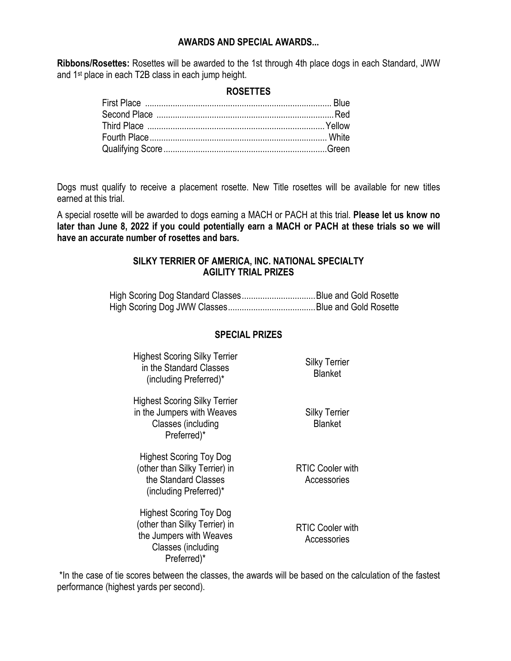#### **AWARDS AND SPECIAL AWARDS...**

**Ribbons/Rosettes:** Rosettes will be awarded to the 1st through 4th place dogs in each Standard, JWW and 1st place in each T2B class in each jump height.

#### **ROSETTES**

Dogs must qualify to receive a placement rosette. New Title rosettes will be available for new titles earned at this trial.

A special rosette will be awarded to dogs earning a MACH or PACH at this trial. **Please let us know no later than June 8, 2022 if you could potentially earn a MACH or PACH at these trials so we will have an accurate number of rosettes and bars.**

#### **SILKY TERRIER OF AMERICA, INC. NATIONAL SPECIALTY AGILITY TRIAL PRIZES**

High Scoring Dog Standard Classes................................Blue and Gold Rosette High Scoring Dog JWW Classes......................................Blue and Gold Rosette

#### **SPECIAL PRIZES**

| <b>Highest Scoring Silky Terrier</b><br>in the Standard Classes<br>(including Preferred)* | <b>Silky Terrier</b><br><b>Blanket</b> |
|-------------------------------------------------------------------------------------------|----------------------------------------|
|-------------------------------------------------------------------------------------------|----------------------------------------|

Highest Scoring Silky Terrier in the Jumpers with Weaves Classes (including Preferred)\*

Highest Scoring Toy Dog (other than Silky Terrier) in the Standard Classes (including Preferred)\*

Highest Scoring Toy Dog (other than Silky Terrier) in the Jumpers with Weaves Classes (including Preferred)\*

RTIC Cooler with

Silky Terrier Blanket

Accessories

RTIC Cooler with **Accessories** 

\*In the case of tie scores between the classes, the awards will be based on the calculation of the fastest performance (highest yards per second).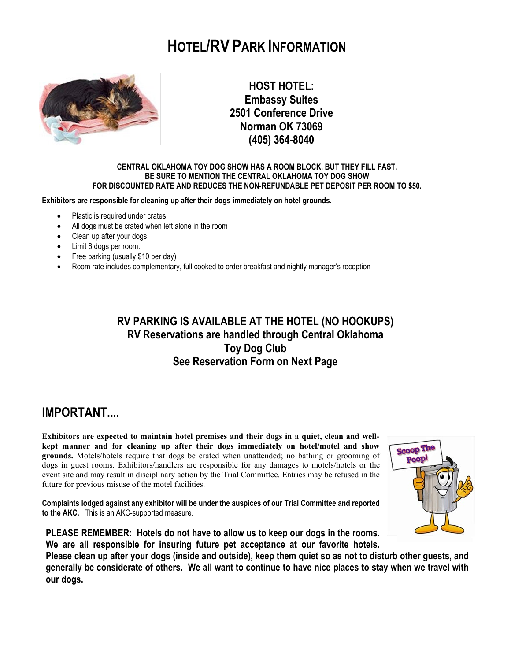# **HOTEL/RV PARK INFORMATION**



**HOST HOTEL: Embassy Suites 2501 Conference Drive Norman OK 73069 (405) 364-8040**

#### **CENTRAL OKLAHOMA TOY DOG SHOW HAS A ROOM BLOCK, BUT THEY FILL FAST. BE SURE TO MENTION THE CENTRAL OKLAHOMA TOY DOG SHOW FOR DISCOUNTED RATE AND REDUCES THE NON-REFUNDABLE PET DEPOSIT PER ROOM TO \$50.**

**Exhibitors are responsible for cleaning up after their dogs immediately on hotel grounds.** 

- Plastic is required under crates
- All dogs must be crated when left alone in the room
- Clean up after your dogs
- Limit 6 dogs per room.
- Free parking (usually \$10 per day)
- Room rate includes complementary, full cooked to order breakfast and nightly manager's reception

## **RV PARKING IS AVAILABLE AT THE HOTEL (NO HOOKUPS) RV Reservations are handled through Central Oklahoma Toy Dog Club See Reservation Form on Next Page**

## **IMPORTANT....**

**Exhibitors are expected to maintain hotel premises and their dogs in a quiet, clean and wellkept manner and for cleaning up after their dogs immediately on hotel/motel and show grounds.** Motels/hotels require that dogs be crated when unattended; no bathing or grooming of dogs in guest rooms. Exhibitors/handlers are responsible for any damages to motels/hotels or the event site and may result in disciplinary action by the Trial Committee. Entries may be refused in the future for previous misuse of the motel facilities.

**Complaints lodged against any exhibitor will be under the auspices of our Trial Committee and reported to the AKC.** This is an AKC-supported measure.



**PLEASE REMEMBER: Hotels do not have to allow us to keep our dogs in the rooms. We are all responsible for insuring future pet acceptance at our favorite hotels.** 

**Please clean up after your dogs (inside and outside), keep them quiet so as not to disturb other guests, and generally be considerate of others. We all want to continue to have nice places to stay when we travel with our dogs.**